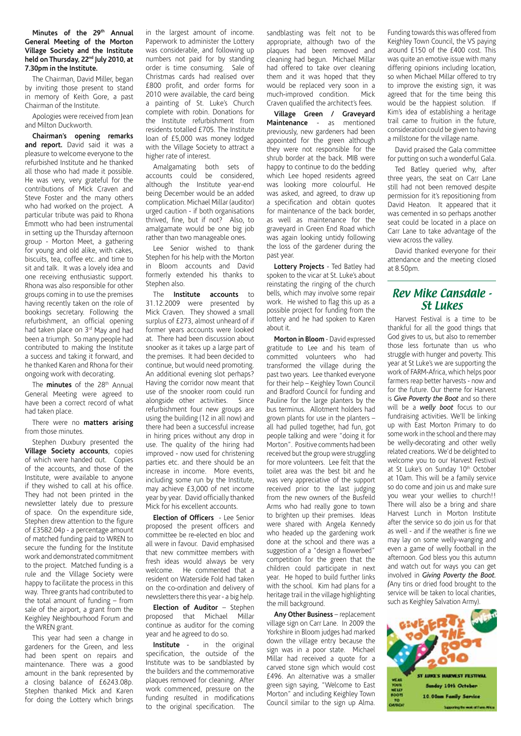**Minutes of the 29th Annual General Meeting of the Morton Village Society and the Institute held on Thursday, 22nd July 2010, at 7.30pm in the Institute.**

The Chairman, David Miller, began by inviting those present to stand in memory of Keith Gore, a past Chairman of the Institute.

Apologies were received from Jean and Milton Duckworth.

**Chairman's opening remarks**  and report. David said it was a pleasure to welcome everyone to the refurbished Institute and he thanked all those who had made it possible. He was very, very grateful for the contributions of Mick Craven and Steve Foster and the many others who had worked on the project. A particular tribute was paid to Rhona Emmott who had been instrumental in setting up the Thursday afternoon group - Morton Meet, a gathering for young and old alike, with cakes, biscuits, tea, coffee etc. and time to sit and talk. It was a lovely idea and one receiving enthusiastic support. Rhona was also responsible for other groups coming in to use the premises having recently taken on the role of bookings secretary. Following the refurbishment, an official opening had taken place on 3<sup>rd</sup> May and had been a triumph. So many people had contributed to making the Institute a success and taking it forward, and he thanked Karen and Rhona for their ongoing work with decorating.

The **minutes** of the 28th Annual General Meeting were agreed to have been a correct record of what had taken place.

There were no **matters arising** from those minutes.

Stephen Duxbury presented the **Village Society accounts**, copies of which were handed out. Copies of the accounts, and those of the Institute, were available to anyone if they wished to call at his office. They had not been printed in the newsletter lately due to pressure of space. On the expenditure side, Stephen drew attention to the figure of £3582.04p - a percentage amount of matched funding paid to WREN to secure the funding for the Institute work and demonstrated commitment to the project. Matched funding is a rule and the Village Society were happy to facilitate the process in this way. Three grants had contributed to the total amount of funding – from sale of the airport, a grant from the Keighley Neighbourhood Forum and the WREN grant.

This year had seen a change in gardeners for the Green, and less had been spent on repairs and maintenance. There was a good amount in the bank represented by a closing balance of £6243.08p. Stephen thanked Mick and Karen for doing the Lottery which brings in the largest amount of income. Paperwork to administer the Lottery was considerable, and following up numbers not paid for by standing order is time consuming. Sale of Christmas cards had realised over £800 profit, and order forms for 2010 were available, the card being a painting of St. Luke's Church complete with robin. Donations for the Institute refurbishment from residents totalled £705. The Institute loan of £5,000 was money lodged with the Village Society to attract a higher rate of interest.

Amalgamating both sets of accounts could be considered, although the Institute year-end being December would be an added complication. Michael Millar (auditor) urged caution - if both organisations thrived, fine, but if not? Also, to amalgamate would be one big job rather than two manageable ones.

Lee Senior wished to thank Stephen for his help with the Morton in Bloom accounts and David formerly extended his thanks to Stephen also.

The **Institute accounts** 31.12.2009 were presented by Mick Craven. They showed a small surplus of £273, almost unheard of if former years accounts were looked at. There had been discussion about snooker as it takes up a large part of the premises. It had been decided to continue, but would need promoting. An additional evening slot perhaps? Having the corridor now meant that use of the snooker room could run alongside other activities. Since refurbishment four new groups are using the building (12 in all now) and there had been a successful increase in hiring prices without any drop in use. The quality of the hiring had improved - now used for christening parties etc. and there should be an increase in income. More events, including some run by the Institute, may achieve £3,000 of net income year by year. David officially thanked Mick for his excellent accounts.

**Election of Officers** - Lee Senior proposed the present officers and committee be re-elected en bloc and all were in favour. David emphasised that new committee members with fresh ideas would always be very welcome. He commented that a resident on Waterside Fold had taken on the co-ordination and delivery of newsletters there this year - a big help.

**Election of Auditor** – Stephen proposed that Michael Millar continue as auditor for the coming year and he agreed to do so.

**Institute** - in the original specification, the outside of the Institute was to be sandblasted by the builders and the commemorative plaques removed for cleaning. After work commenced, pressure on the funding resulted in modifications to the original specification. The

sandblasting was felt not to be appropriate, although two of the plaques had been removed and cleaning had begun. Michael Millar had offered to take over cleaning them and it was hoped that they would be replaced very soon in a much-improved condition. Mick Craven qualified the architect's fees.

**Village Green / Graveyard Maintenance** - as mentioned previously, new gardeners had been appointed for the green although they were not responsible for the shrub border at the back. MIB were happy to continue to do the bedding which Lee hoped residents agreed was looking more colourful. He was asked, and agreed, to draw up a specification and obtain quotes for maintenance of the back border, as well as maintenance for the graveyard in Green End Road which was again looking untidy following the loss of the gardener during the past year.

**Lottery Projects** - Ted Batley had spoken to the vicar at St. Luke's about reinstating the ringing of the church bells, which may involve some repair work. He wished to flag this up as a possible project for funding from the lottery and he had spoken to Karen about it.

**Morton in Bloom** - David expressed gratitude to Lee and his team of committed volunteers who had transformed the village during the past two years. Lee thanked everyone for their help – Keighley Town Council and Bradford Council for funding and Pauline for the large planters by the bus terminus. Allotment holders had grown plants for use in the planters – all had pulled together, had fun, got people talking and were "doing it for Morton". Positive comments had been received but the group were struggling for more volunteers. Lee felt that the toilet area was the best bit and he was very appreciative of the support received prior to the last judging from the new owners of the Busfeild Arms who had really gone to town to brighten up their premises. Ideas were shared with Angela Kennedy who headed up the gardening work done at the school and there was a suggestion of a "design a flowerbed" competition for the green that the children could participate in next year. He hoped to build further links with the school. Kim had plans for a heritage trail in the village highlighting the mill background.

**Any Other Business** – replacement village sign on Carr Lane. In 2009 the Yorkshire in Bloom judges had marked down the village entry because the sign was in a poor state. Michael Millar had received a quote for a carved stone sign which would cost £496. An alternative was a smaller green sign saying, "Welcome to East Morton" and including Keighley Town Council similar to the sign up Alma. Funding towards this was offered from Keighley Town Council, the VS paying around £150 of the £400 cost. This was quite an emotive issue with many differing opinions including location, so when Michael Millar offered to try to improve the existing sign, it was agreed that for the time being this would be the happiest solution. If Kim's idea of establishing a heritage trail came to fruition in the future, consideration could be given to having a millstone for the village name.

David praised the Gala committee for putting on such a wonderful Gala.

Ted Batley queried why, after three years, the seat on Carr Lane still had not been removed despite permission for it's repositioning from David Heaton. It appeared that it was cemented in so perhaps another seat could be located in a place on Carr Lane to take advantage of the view across the valley.

David thanked everyone for their attendance and the meeting closed at 8.50pm.

#### Rev Mike Cansdale - St Lukes

Harvest Festival is a time to be thankful for all the good things that God gives to us, but also to remember those less fortunate than us who struggle with hunger and poverty. This year at St Luke's we are supporting the work of FARM-Africa, which helps poor farmers reap better harvests - now and for the future. Our theme for Harvest is *Give Poverty the Boot* and so there will be a *welly boot* focus to our fundraising activities. We'll be linking up with East Morton Primary to do some work in the school and there may be welly-decorating and other welly related creations. We'd be delighted to welcome you to our Harvest Festival at St Luke's on Sunday 10<sup>th</sup> October at 10am. This will be a family service so do come and join us and make sure you wear your wellies to church!! There will also be a bring and share Harvest Lunch in Morton Institute after the service so do join us for that as well - and if the weather is fine we may lay on some welly-wanging and even a game of welly football in the afternoon. God bless you this autumn and watch out for ways you can get involved in *Giving Poverty the Boot. (*Any tins or dried food brought to the service will be taken to local charities. such as Keighley Salvation Army).

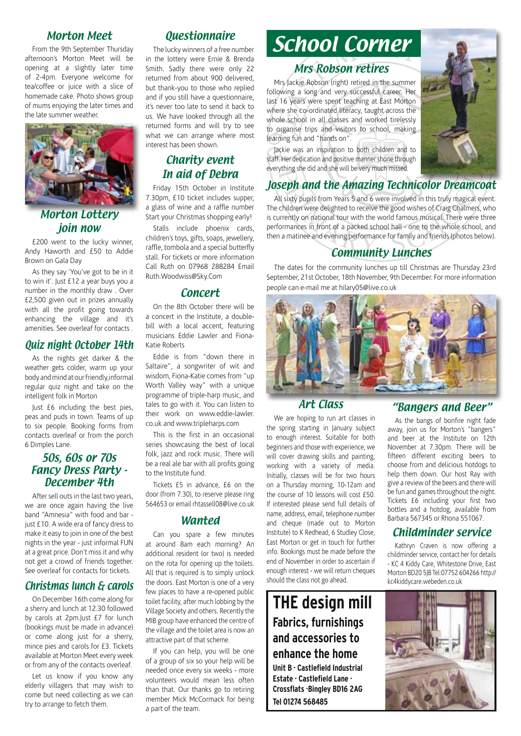#### Morton Meet

From the 9th September Thursday afternoon's Morton Meet will be opening at a slightly later time of 2-4pm. Everyone welcome for tea/coffee or juice with a slice of homemade cake. Photo shows group of mums enjoying the later times and the late summer weather.



### Morton Lottery join now

£200 went to the lucky winner, Andy Haworth and £50 to Addie Brown on Gala Day

As they say 'You've got to be in it to win it'. Just £12 a year buys you a number in the monthly draw . Over £2,500 given out in prizes annually with all the profit going towards enhancing the village and it's amenities. See overleaf for contacts .

#### Quiz night October 14th

As the nights get darker & the weather gets colder, warm up your body and mind at our friendly,informal regular quiz night and take on the intelligent folk in Morton

Just £6 including the best pies, peas and puds in town. Teams of up to six people. Booking forms from contacts overleaf or from the porch 6 Dimples Lane.

#### 50s, 60s or 70s Fancy Dress Party - December 4th

After sell outs in the last two years, we are once again having the live band "Amnesia" with food and bar just £10. A wide era of fancy dress to make it easy to join in one of the best nights in the year - just informal FUN at a great price. Don't miss it and why not get a crowd of friends together. See overleaf for contacts for tickets.

#### Christmas lunch & carols

On December 16th come along for a sherry and lunch at 12.30 followed by carols at 2pm.Just £7 for lunch (bookings must be made in advance) or come along just for a sherry, mince pies and carols for £3. Tickets available at Morton Meet every week or from any of the contacts overleaf.

Let us know if you know any elderly villagers that may wish to come but need collecting as we can try to arrange to fetch them.

#### Questionnaire

The lucky winners of a free number in the lottery were Ernie & Brenda Smith. Sadly there were only 22 returned from about 900 delivered, but thank-you to those who replied and if you still have a questionnaire, it's never too late to send it back to us. We have looked through all the returned forms and will try to see what we can arrange where most interest has been shown.

### Charity event In aid of Debra

Friday 15th October in Institute 7.30pm, £10 ticket includes supper, a glass of wine and a raffle number Start your Christmas shopping early!

Stalls include phoenix cards, children's toys, gifts, soaps, jewellery, raffle, tombola and a special butterfly stall. For tickets or more information Call Ruth on 07968 288284 Email Ruth.Woodwiss@Sky.Com

#### **Concert**

On the 8th October there will be a concert in the Institute, a doublebill with a local accent, featuring musicians Eddie Lawler and Fiona-Katie Roberts

Eddie is from "down there in Saltaire", a songwriter of wit and wisdom, Fiona-Katie comes from "up Worth Valley way" with a unique programme of triple-harp music, and tales to go with it. You can listen to their work on www.eddie-lawler. co.uk and www.tripleharps.com

This is the first in an occasional series showcasing the best of local folk, jazz and rock music. There will be a real ale bar with all profits going to the Institute fund.

Tickets £5 in advance, £6 on the door (from 7.30), to reserve please ring 564653 or email rhtassell08@live.co.uk

#### **Wanted**

Can you spare a few minutes at around 8am each morning? An additional resident (or two) is needed on the rota for opening up the toilets. All that is required is to simply unlock the doors. East Morton is one of a very few places to have a re-opened public toilet facility, after much lobbing by the Village Society and others. Recently the MIB group have enhanced the centre of the village and the toilet area is now an attractive part of that scheme.

If you can help, you will be one of a group of six so your help will be needed once every six weeks - more volunteers would mean less often than that. Our thanks go to retiring member Mick McCormack for being a part of the team.

# School Corner

#### Mrs Robson retires

Mrs Jackie Robson (right) retired in the summer following a long and very successful career. Her last 16 years were spent teaching at East Morton where she co-ordinated literacy, taught across the whole school in all classes and worked tirelessly to organise trips and visitors to school, making learning fun and "hands on".

Jackie was an inspiration to both children and to staff. Her dedication and positive manner shone through everything she did and she will be very much missed.



All sixty pupils from Years 5 and 6 were involved in this truly magical event. The children were delighted to receive the good wishes of Craig Chalmers, who is currently on national tour with the world famous musical. There were three performances in front of a packed school hall - one to the whole school, and then a matinee and evening performance for family and friends (photos below).

#### Community Lunches

The dates for the community lunches up till Christmas are Thursday 23rd September, 21st October, 18th November, 9th December. For more information people can e-mail me at hilary05@live.co.uk



#### Art Class

We are hoping to run art classes in the spring starting in January subject to enough interest. Suitable for both beginners and those with experience, we will cover drawing skills and painting, working with a variety of media. Initially, classes will be for two hours on a Thursday morning, 10-12am and the course of 10 lessons will cost £50. If interested please send full details of name, address, email, telephone number and cheque (made out to Morton Institute) to K Redhead, 6 Studley Close, East Morton or get in touch for further info. Bookings must be made before the end of November in order to ascertain if enough interest - we will return cheques should the class not go ahead.

**THE design mill Fabrics, furnishings and accessories to enhance the home Unit B · Castlefield Industrial Estate · Castlefield Lane · Crossflats ·Bingley BD16 2AG**

#### **Tel 01274 568485**

#### "Bangers and Beer"

As the bangs of bonfire night fade away, join us for Morton's "bangers" and beer at the Institute on 12th November at 7.30pm. There will be fifteen different exciting beers to choose from and delicious hotdogs to help them down. Our host Ray with give a review of the beers and there will be fun and games throughout the night. Tickets £6 including your first two bottles and a hotdog, available from Barbara 567345 or Rhona 551067.

#### Childminder service

Kathryn Craven is now offering a childminder service, contact her for details - KC 4 Kiddy Care, Whitestone Drive, East Morton BD20 5JB Tel:07752 604266 http:// kc4kiddycare.webeden.co.uk



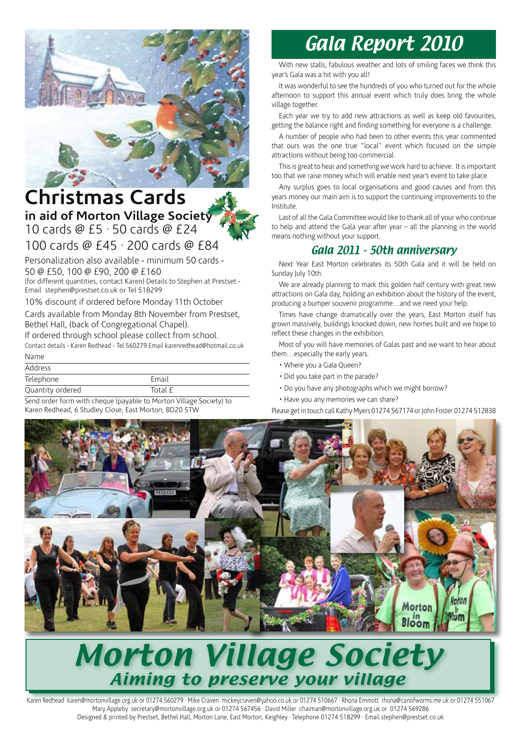

## **Christmas Cards**

**in aid of Morton Village Society**

10 cards @ £5 · 50 cards @ £24 100 cards @ £45 · 200 cards @ £84

Personalization also available - minimum 50 cards -

50 @ £50, 100 @ £90, 200 @ £160 (for different quantities, contact Karen) Details to Stephen at Prestset -

Email stephen@prestset.co.uk or Tel 518299 10% discount if ordered before Monday 11th October

Cards available from Monday 8th November from Prestset, Bethel Hall, (back of Congregational Chapel).

If ordered through school please collect from school.

Contact details - Karen Redhead - Tel 560279 Email karenredhead@hotmail.co.uk Name

| --------  |       |
|-----------|-------|
| Address   |       |
| Telephone | Fmail |

| Quantity ordered | Total £                                                            |
|------------------|--------------------------------------------------------------------|
|                  | Send order form with cheque (payable to Morton Village Society) to |

Karen Redhead, 6 Studley Close, East Morton, BD20 5TW

# Gala Report 2010

With new stalls, fabulous weather and lots of smiling faces we think this year's Gala was a hit with you all!

It was wonderful to see the hundreds of you who turned out for the whole afternoon to support this annual event which truly does bring the whole village together.

Each year we try to add new attractions as well as keep old favourites, getting the balance right and finding something for everyone is a challenge.

A number of people who had been to other events this year commented that ours was the one true "local" event which focused on the simple attractions without being too commercial.

This is great to hear and something we work hard to achieve. It is important too that we raise money which will enable next year's event to take place.

Any surplus goes to local organisations and good causes and from this years money our main aim is to support the continuing improvements to the Institute.

Last of all the Gala Committee would like to thank all of your who continue to help and attend the Gala year after year – all the planning in the world means nothing without your support.

### Gala 2011 - 50th anniversary

Next Year East Morton celebrates its 50th Gala and it will be held on Sunday July 10th.

We are already planning to mark this golden half century with great new attractions on Gala day, holding an exhibition about the history of the event, producing a bumper souvenir programme…and we need your help.

Times have change dramatically over the years, East Morton itself has grown massively, buildings knocked down, new homes built and we hope to reflect these changes in the exhibition.

Most of you will have memories of Galas past and we want to hear about them…especially the early years.

- Where you a Gala Queen?
- Did you take part in the parade?
- Do you have any photographs which we might borrow?
- Have you any memories we can share?

Please get in touch call Kathy Myers 01274 567174 or John Foster 01274 512838



# Morton Village Society Aiming to preserve your village

Karen Redhead karen@mortonvillage.org.uk or 01274 560279 · Mike Craven mickeycraven@yahoo.co.uk or 01274 510667 · Rhona Emmott rhona@canofworms.me.uk or 01274 551067 Mary Appleby secretary@mortonvillage.org.uk or 01274 567456 · David Miller chaiman@mortonvillage.org.uk or 01274 569286 Designed & printed by Prestset, Bethel Hall, Morton Lane, East Morton, Keighley · Telephone 01274 518299 · Email stephen@prestset.co.uk